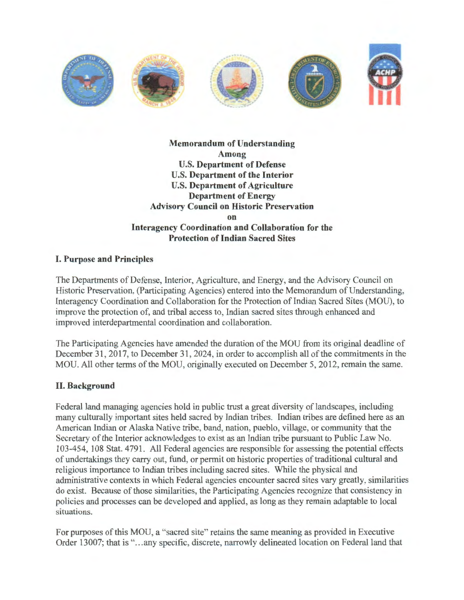

# **Memorandum of Understanding Among**  U.S. **Department of Defense**  U.S. **Department of the Interior**  U.S. **Department of Agriculture Department of Energy Advisory Council on Historic Preservation on Interagency Coordination and Collaboration for the Protection of Indian Sacred Sites**

# **I. Purpose and Principles**

The Departments of Defense, Interior, Agriculture, and Energy, and the Advisory Council on Historic Preservation, (Participating Agencies) entered into the Memorandum of Understanding, Interagency Coordination and Collaboration for the Protection of Indian Sacred Sites (MOU), to improve the protection of, and tribal access to, Indian sacred sites through enhanced and improved interdepartmental coordination and collaboration.

The Participating Agencies have amended the duration of the MOU from its original deadline of December 31, 2017, to December 31, 2024, in order to accomplish all of the commitments in the MOU. All other terms of the MOU, originally executed on December 5, 2012, remain the same.

# **II. Background**

Federal land managing agencies hold in public trust a great diversity of landscapes, including many culturally important sites held sacred by Indian tribes. Indian tribes are defined here as an American Indian or Alaska Native tribe, band, nation, pueblo, village, or community that the Secretary of the Interior acknowledges to exist as an Indian tribe pursuant to Public Law No. 103-454, 108 Stat. 4791. All Federal agencies are responsible for assessing the potential effects of undertakings they carry out, fund, or permit on historic properties of traditional cultural and religious importance to Indian tribes including sacred sites. While the physical and administrative contexts in which Federal agencies encounter sacred sites vary greatly, similarities do exist. Because of those similarities, the Participating Agencies recognize that consistency in policies and processes can be developed and applied, as long as they remain adaptable to local situations.

For purposes of this MOU, a "sacred site" retains the same meaning as provided in Executive Order 13007; that is "...any specific, discrete, narrowly delineated location on Federal land that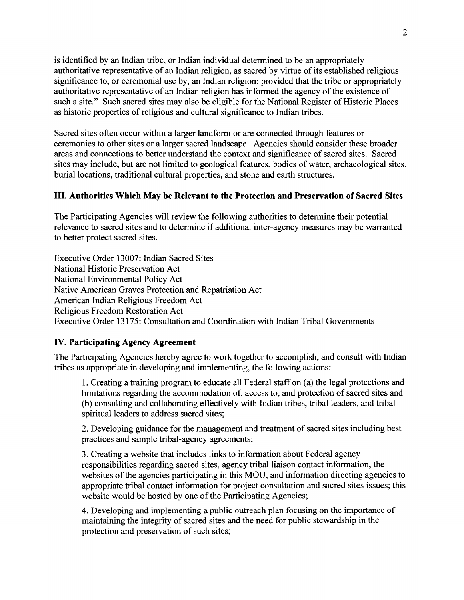is identified by an Indian tribe, or Indian individual determined to be an appropriately authoritative representative of an Indian religion, as sacred by virtue of its established religious significance to, or ceremonial use by, an Indian religion; provided that the tribe or appropriately authoritative representative of an Indian religion has informed the agency of the existence of such a site." Such sacred sites may also be eligible for the National Register of Historic Places as historic properties of religious and cultural significance to Indian tribes.

Sacred sites often occur within a larger landform or are connected through features or ceremonies to other sites or a larger sacred landscape. Agencies should consider these broader areas and connections to better understand the context and significance of sacred sites. Sacred sites may include, but are not limited to geological features, bodies of water, archaeological sites, burial locations, traditional cultural properties, and stone and earth structures.

## **III. Authorities Which May be Relevant to the Protection and Preservation of Sacred Sites**

The Participating Agencies will review the following authorities to determine their potential relevance to sacred sites and to determine if additional inter-agency measures may be warranted to better protect sacred sites.

Executive Order 13007: Indian Sacred Sites National Historic Preservation Act National Environmental Policy Act Native American Graves Protection and Repatriation Act American Indian Religious Freedom Act Religious Freedom Restoration Act Executive Order 13175: Consultation and Coordination with Indian Tribal Governments

#### **IV. Participating Agency Agreement**

The Participating Agencies hereby agree to work together to accomplish, and consult with Indian tribes as appropriate in developing and implementing, the following actions:

1. Creating a training program to educate all Federal staff on (a) the legal protections and limitations regarding the accommodation of, access to, and protection of sacred sites and (b) consulting and collaborating effectively with Indian tribes, tribal leaders, and tribal spiritual leaders to address sacred sites;

2. Developing guidance for the management and treatment of sacred sites including best practices and sample tribal-agency agreements;

3. Creating a website that includes links to information about Federal agency responsibilities regarding sacred sites, agency tribal liaison contact information, the websites of the agencies participating in this MOU, and information directing agencies to appropriate tribal contact information for project consultation and sacred sites issues; this website would be hosted by one of the Participating Agencies;

4. Developing and implementing a public outreach plan focusing on the importance of maintaining the integrity of sacred sites and the need for public stewardship in the protection and preservation of such sites;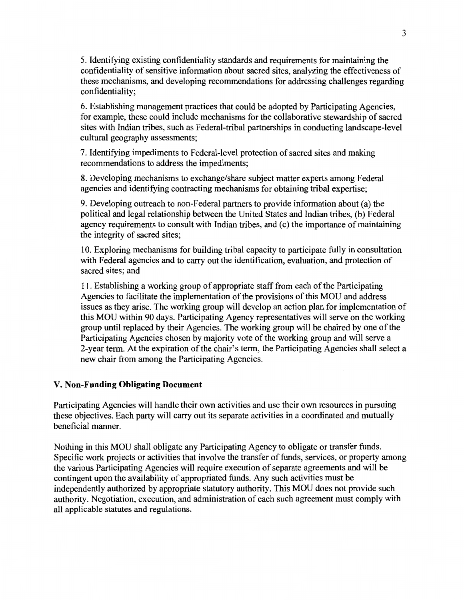5. Identifying existing confidentiality standards and requirements for maintaining the confidentiality of sensitive information about sacred sites, analyzing the effectiveness of these mechanisms, and developing recommendations for addressing challenges regarding confidentiality;

6. Establishing management practices that could be adopted by Participating Agencies, for example, these could include mechanisms for the collaborative stewardship of sacred sites with Indian tribes, such as Federal-tribal partnerships in conducting landscape-level cultural geography assessments;

7. Identifying impediments to Federal-level protection of sacred sites and making recommendations to address the impediments;

8. Developing mechanisms to exchange/share subject matter experts among Federal agencies and identifying contracting mechanisms for obtaining tribal expertise;

9. Developing outreach to non-Federal partners to provide information about (a) the political and legal relationship between the United States and Indian tribes, (b) Federal agency requirements to consult with Indian tribes, and (c) the importance of maintaining the integrity of sacred sites;

10. Exploring mechanisms for building tribal capacity to participate fully in consultation with Federal agencies and to carry out the identification, evaluation, and protection of sacred sites; and

11. Establishing a working group of appropriate staff from each of the Participating Agencies to facilitate the implementation of the provisions of this MOU and address issues as they arise. The working group will develop an action plan for implementation of this MOU within 90 days. Participating Agency representatives will serve on the working group until replaced by their Agencies. The working group will be chaired by one of the Participating Agencies chosen by majority vote of the working group and will serve a 2-year term. At the expiration of the chair's term, the Participating Agencies shall select a new chair from among the Participating Agencies.

## V. **Non-Funding Obligating Document**

Participating Agencies will handle their own activities and use their own resources in pursuing these objectives. Each party will carry out its separate activities in a coordinated and mutually beneficial manner.

Nothing in this MOU shall obligate any Participating Agency to obligate or transfer funds. Specific work projects or activities that involve the transfer of funds, services, or property among the various Participating Agencies will require execution of separate agreements and will be contingent upon the availability of appropriated funds. Any such activities must be independently authorized by appropriate statutory authority. This MOU does not provide such authority. Negotiation, execution, and administration of each such agreement must comply with all applicable statutes and regulations.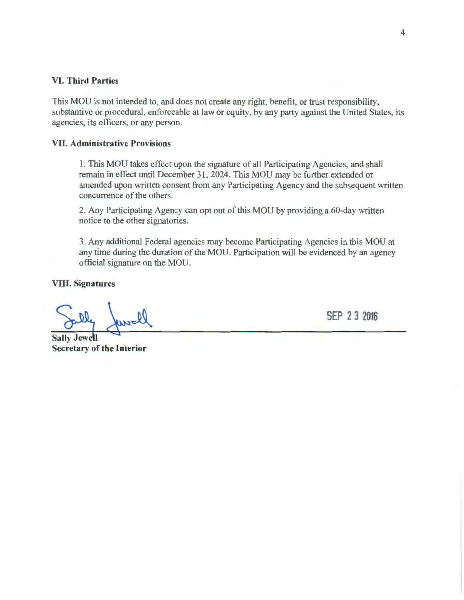#### **VI. Third Parties**

This MOU is not intended to, and does not create any right, benefit, or trust responsibility, substantive or procedural, enforceable at law or equity, by any party against the United States, its agencies, its officers, or any person.

#### **VII. Administrative Provisions**

1. This MOU takes effect upon the signature of all Participating Agencies, and shall remain in effect until December 31, 2024. This MOU may be further extended or amended upon written consent from any Participating Agency and the subsequent written concurrence of the others.

2. Any Participating Agency can opt out of this MOU by providing a 60-day written notice to the other signatories.

3. Any additional Federal agencies may become Participating Agencies in this MOU at any time during the duration of the MOU. Participation will be evidenced by an agency official signature on the MOU.

**VIII. Signatures** 

**Sally Jewell Secretary of the Interior** 

**SEP 2 3 2016**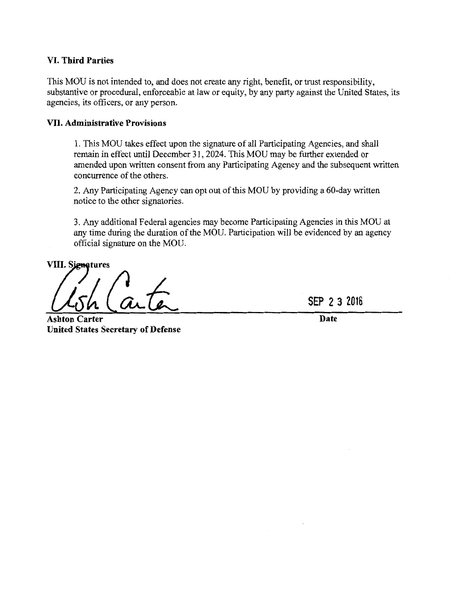## VI. **Third Parties**

This MOU is not intended to, and does not create any right, benefit, or trust responsibility, substantive or procedural, enforceable at law or equity, by any party against the United States, its agencies, its officers, or any person.

## VII. **Administrative Provisions**

I. This MOU takes effect upon the signature of all Participating Agencies, and shall remain in effect until December 31, 2024. This MOU may be further extended or amended upon written consent from any Participating Agency and the subsequent written concurrence of the others.

2. Any Participating Agency can opt out of this MOU by providing a 60-day written notice to the other signatories.

3. Any additional Federal agencies may become Participating Agencies in this MOU at any time during the duration of the MOU. Participation will be evidenced by an agency official signature on the MOU.

**VIII. Signatures** 

**Ashton Carter Date United States Secretary of Defense** 

**SEP 2 3 2016**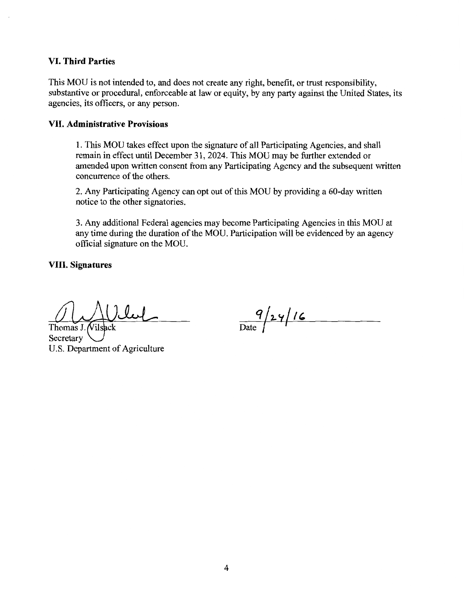### **VI. Third Parties**

This MOU is not intended to, and does not create any right, benefit, or trust responsibility, substantive or procedural, enforceable at law or equity, by any party against the United States, its agencies, its officers, or any person.

#### **VII. Administrative Provisions**

1. This MOU takes effect upon the signature of all Participating Agencies, and shall remain in effect until December 31, 2024. This MOU may be further extended or amended upon written consent from any Participating Agency and the subsequent written concurrence of the others.

2. Any Participating Agency can opt out of this MOU by providing a 60-day written notice to the other signatories.

3. Any additional Federal agencies may become Participating Agencies in this MOU at any time during the duration of the MOU. Participation will be evidenced by an agency official signature on the MOU.

**VIII. Signatures** 

Thomas J. Vilsacl **Secretary** U.S. Department of Agriculture

 $\frac{9}{\text{Date}}$  /24/16

4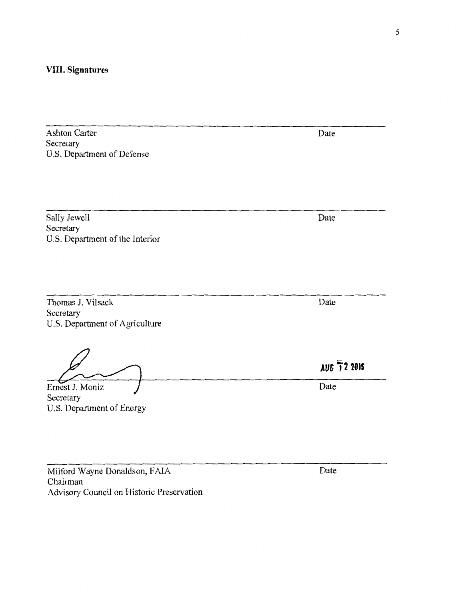## **VIII. Signatures**

Ashton Carter Secretary U.S. Department of Defense

Sally Jewell Secretary U.S. Department of the Interior

Thomas J. Vilsack Secretary U.S. Department of Agriculture

Secretary Ernest J. Moniz U.S. Department of Energy

Milford Wayne Donaldson, FAIA Chairman Advisory Council on Historic Preservation Date

Date

Date

**AUG 72 <sup>2016</sup>**

Date

Date

5